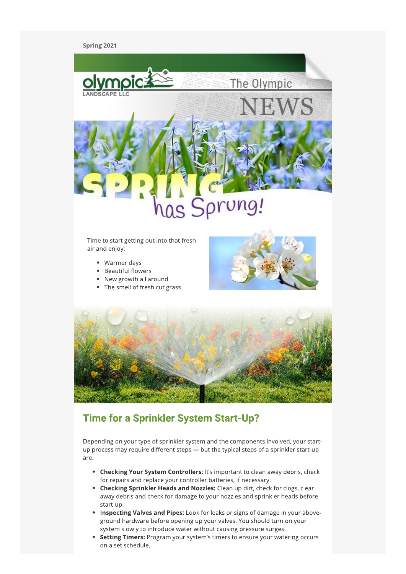Spring 2021



- air and enjoy:
	- Warmer days
	- Beautiful flowers
	- New growth all around
	- The smell of fresh cut grass





### **Time for a Sprinkler System Start-Up?**

Depending on your type of sprinkler system and the components involved, your startup process may require different steps - but the typical steps of a sprinkler start-up are:

- Checking Your System Controllers: It's important to clean away debris, check for repairs and replace your controller batteries, if necessary.
- Checking Sprinkler Heads and Nozzles: Clean up dirt, check for clogs, clear away debris and check for damage to your nozzles and sprinkler heads before start-up.
- Inspecting Valves and Pipes: Look for leaks or signs of damage in your aboveground hardware before opening up your valves. You should turn on your system slowly to introduce water without causing pressure surges.
- Setting Timers: Program your system's timers to ensure your watering occurs on a set schedule.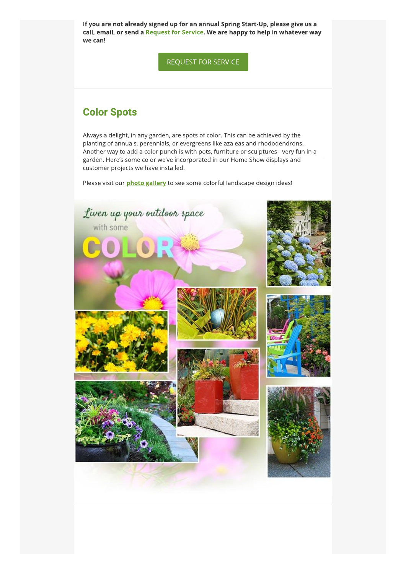if you are not aiready signed up for an annual Spring Start-Up, please give us a call, email, or send a <u>Request for Service</u>. We are happy to help in Whatever Way we can! eady signed up for an annual Spring Start-Up,<br>hd a <mark>Request for Service</mark>. We are happy to help<br>REQUEST FOR SERVICE<br>S

### **Color Spots**

Always a delight, in any garden, are spots of color. This can be achieved by the planting of annuals, perennials, or evergreens like azaleas and rhododendrons. Another way to add a color punch is with pots, furniture or sculptures - very fun in a garden. Here's some color we've incorporated in our Home Show displays and customer projects we have installed.

Please visit our *photo gallery* to see some colorful landscape design ideas!

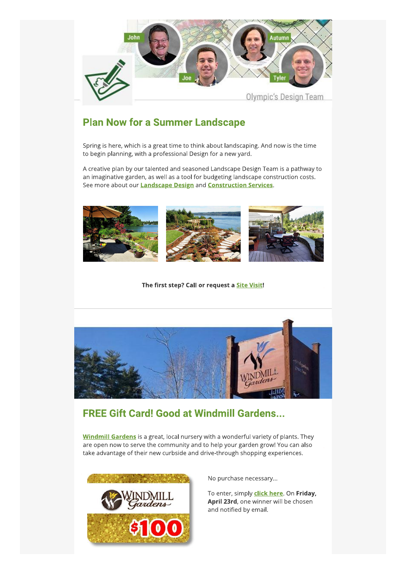

# **Plan Now for a Summer Landscape**

Spring is here, which is a great time to think about landscaping. And now is the time to begin planning, with a professional Design for a new yard.

A creative plan by our talented and seasoned Landscape Design Team is a pathway to an imaginative garden, as well as a tool for budgeting landscape construction costs. See more about our **Landscape Design** and **Construction Services**.



The first step? Call or request a Site Visit!



# **FREE Gift Card! Good at Windmill Gardens...**

**Windmill Gardens** is a great, local nursery with a wonderful variety of plants. They are open now to serve the community and to help your garden grow! You can also take advantage of their new curbside and drive-through shopping experiences.



No purchase necessary...

To enter, simply **click here**. On Friday, April 23rd, one winner will be chosen and notified by email.